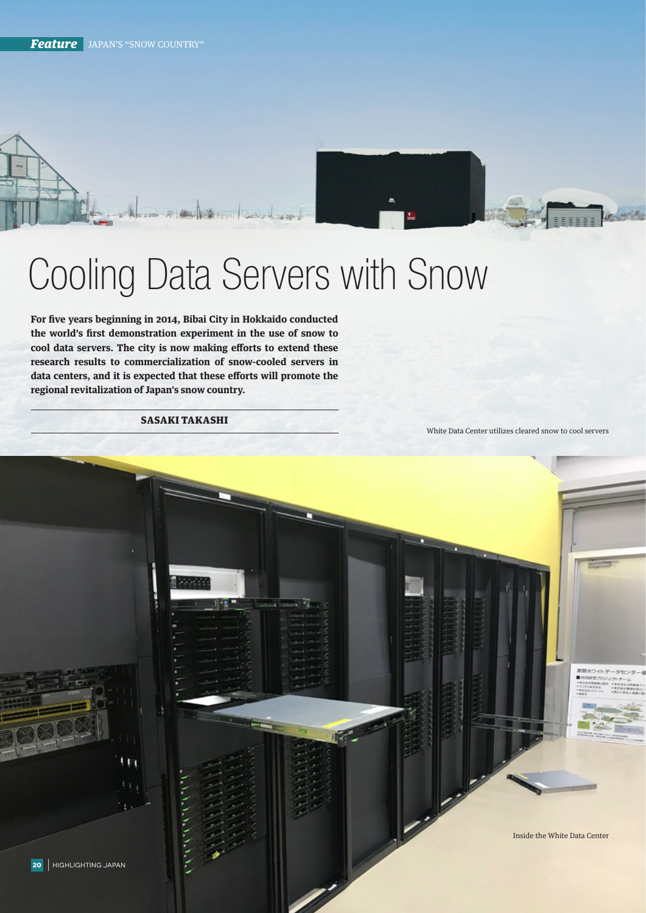

## Cooling Data Servers with Snow

**For five years beginning in 2014, Bibai City in Hokkaido conducted the world's first demonstration experiment in the use of snow to cool data servers. The city is now making efforts to extend these research results to commercialization of snow-cooled servers in data centers, and it is expected that these efforts will promote the regional revitalization of Japan's snow country.**

SASAKI TAKASHI

White Data Center utilizes cleared snow to cool servers

Inside the White Data Center